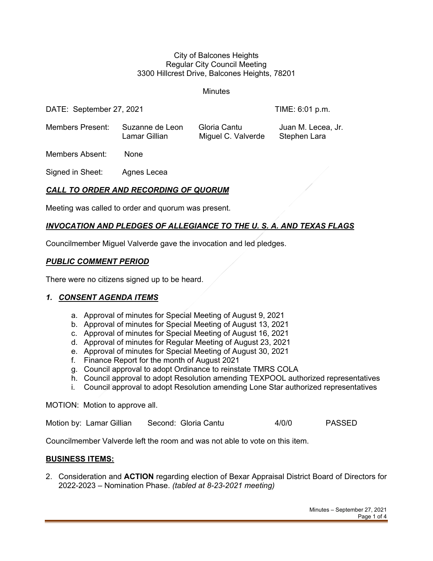#### City of Balcones Heights Regular City Council Meeting 3300 Hillcrest Drive, Balcones Heights, 78201

**Minutes** 

DATE: September 27, 2021 **TIME: 6:01 p.m.** 

Members Present: Suzanne de Leon Gloria Cantu Juan M. Lecea, Jr. Lamar Gillian Miguel C. Valverde Stephen Lara

Members Absent: None

Signed in Sheet: Agnes Lecea

# *CALL TO ORDER AND RECORDING OF QUORUM*

Meeting was called to order and quorum was present.

## *INVOCATION AND PLEDGES OF ALLEGIANCE TO THE U. S. A. AND TEXAS FLAGS*

Councilmember Miguel Valverde gave the invocation and led pledges.

#### *PUBLIC COMMENT PERIOD*

There were no citizens signed up to be heard.

#### *1. CONSENT AGENDA ITEMS*

- a. Approval of minutes for Special Meeting of August 9, 2021
- b. Approval of minutes for Special Meeting of August 13, 2021
- c. Approval of minutes for Special Meeting of August 16, 2021
- d. Approval of minutes for Regular Meeting of August 23, 2021
- e. Approval of minutes for Special Meeting of August 30, 2021
- f. Finance Report for the month of August 2021
- g. Council approval to adopt Ordinance to reinstate TMRS COLA
- h. Council approval to adopt Resolution amending TEXPOOL authorized representatives
- i. Council approval to adopt Resolution amending Lone Star authorized representatives

#### MOTION: Motion to approve all.

Motion by: Lamar Gillian Second: Gloria Cantu 4/0/0 PASSED

Councilmember Valverde left the room and was not able to vote on this item.

#### **BUSINESS ITEMS:**

2. Consideration and **ACTION** regarding election of Bexar Appraisal District Board of Directors for 2022-2023 – Nomination Phase. *(tabled at 8-23-2021 meeting)*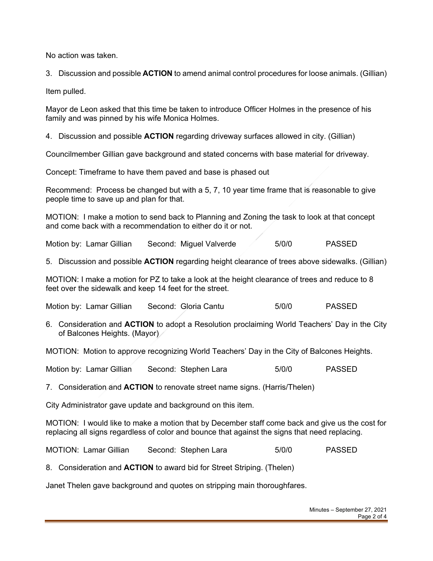No action was taken.

3. Discussion and possible **ACTION** to amend animal control procedures for loose animals. (Gillian)

Item pulled.

Mayor de Leon asked that this time be taken to introduce Officer Holmes in the presence of his family and was pinned by his wife Monica Holmes.

4. Discussion and possible **ACTION** regarding driveway surfaces allowed in city. (Gillian)

Councilmember Gillian gave background and stated concerns with base material for driveway.

Concept: Timeframe to have them paved and base is phased out

Recommend: Process be changed but with a 5, 7, 10 year time frame that is reasonable to give people time to save up and plan for that.

MOTION: I make a motion to send back to Planning and Zoning the task to look at that concept and come back with a recommendation to either do it or not.

Motion by: Lamar Gillian Second: Miguel Valverde 5/0/0 PASSED

5. Discussion and possible **ACTION** regarding height clearance of trees above sidewalks. (Gillian)

MOTION: I make a motion for PZ to take a look at the height clearance of trees and reduce to 8 feet over the sidewalk and keep 14 feet for the street.

Motion by: Lamar Gillian Second: Gloria Cantu 5/0/0 PASSED

6. Consideration and **ACTION** to adopt a Resolution proclaiming World Teachers' Day in the City of Balcones Heights. (Mayor)

MOTION: Motion to approve recognizing World Teachers' Day in the City of Balcones Heights.

Motion by: Lamar Gillian Second: Stephen Lara 6/0/0 PASSED

7. Consideration and **ACTION** to renovate street name signs. (Harris/Thelen)

City Administrator gave update and background on this item.

MOTION: I would like to make a motion that by December staff come back and give us the cost for replacing all signs regardless of color and bounce that against the signs that need replacing.

MOTION: Lamar Gillian Second: Stephen Lara 5/0/0 PASSED

8. Consideration and **ACTION** to award bid for Street Striping. (Thelen)

Janet Thelen gave background and quotes on stripping main thoroughfares.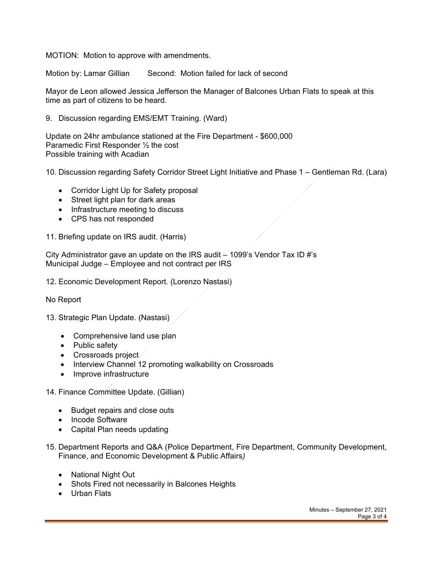MOTION: Motion to approve with amendments.

Motion by: Lamar Gillian Second: Motion failed for lack of second

Mayor de Leon allowed Jessica Jefferson the Manager of Balcones Urban Flats to speak at this time as part of citizens to be heard.

9. Discussion regarding EMS/EMT Training. (Ward)

Update on 24hr ambulance stationed at the Fire Department - \$600,000 Paramedic First Responder ½ the cost Possible training with Acadian

10. Discussion regarding Safety Corridor Street Light Initiative and Phase 1 – Gentleman Rd. (Lara)

- Corridor Light Up for Safety proposal
- Street light plan for dark areas
- Infrastructure meeting to discuss
- CPS has not responded

11. Briefing update on IRS audit. (Harris)

City Administrator gave an update on the IRS audit  $-$  1099's Vendor Tax ID #'s Municipal Judge – Employee and not contract per IRS

12. Economic Development Report. (Lorenzo Nastasi)

No Report

13. Strategic Plan Update. (Nastasi)

- Comprehensive land use plan
- Public safety
- Crossroads project
- Interview Channel 12 promoting walkability on Crossroads
- Improve infrastructure

14. Finance Committee Update. (Gillian)

- Budget repairs and close outs
- Incode Software
- Capital Plan needs updating
- 15. Department Reports and Q&A (Police Department, Fire Department, Community Development, Finance, and Economic Development & Public Affairs*)*
	- National Night Out
	- Shots Fired not necessarily in Balcones Heights
	- Urban Flats